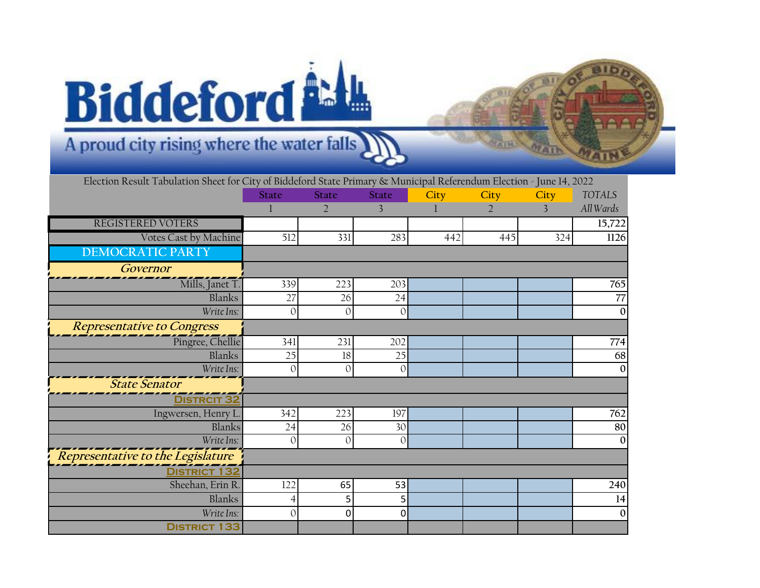## **Biddeford** LL

## A proud city rising where the water falls

| Election Result Tabulation Sheet for City of Biddeford State Primary & Municipal Referendum Election - June 14, 2022 |              |                |                |      |                             |                |                     |
|----------------------------------------------------------------------------------------------------------------------|--------------|----------------|----------------|------|-----------------------------|----------------|---------------------|
|                                                                                                                      | <b>State</b> | <b>State</b>   | <b>State</b>   | City | City                        | City           | <b>TOTALS</b>       |
|                                                                                                                      | 1            | $\overline{2}$ | 3              |      | $\mathcal{D}_{\mathcal{A}}$ | $\overline{3}$ | All Wards           |
| REGISTERED VOTERS                                                                                                    |              |                |                |      |                             |                | $\overline{15,722}$ |
| Votes Cast by Machine                                                                                                | 512          | 331            | 283            | 442  | 445                         | 324            | 1126                |
| <b>DEMOCRATIC PARTY</b>                                                                                              |              |                |                |      |                             |                |                     |
| Governor                                                                                                             |              |                |                |      |                             |                |                     |
| $\overline{\text{Mills}}$ , Janet T.                                                                                 | 339          | 223            | 203            |      |                             |                | 765                 |
| Blanks                                                                                                               | 27           | 26             | 24             |      |                             |                | 77                  |
| Write Ins:                                                                                                           | $\mathbf{0}$ | $\overline{O}$ | $\mathcal{O}$  |      |                             |                | $\mathbf{0}$        |
| <b>Representative to Congress</b>                                                                                    |              |                |                |      |                             |                |                     |
| Pingree, Chellie                                                                                                     | 341          | 231            | 202            |      |                             |                | 774                 |
| Blanks                                                                                                               | 25           | 18             | 25             |      |                             |                | 68                  |
| Write Ins:                                                                                                           | $\mathbf{0}$ | $\mathbf{0}$   | $\Omega$       |      |                             |                | $\mathbf{0}$        |
| <b>State Senator</b>                                                                                                 |              |                |                |      |                             |                |                     |
| <b>DISTRCIT 32</b>                                                                                                   |              |                |                |      |                             |                |                     |
| Ingwersen, Henry L.                                                                                                  | 342          | 223            | 197            |      |                             |                | 762                 |
| Blanks                                                                                                               | 24           | 26             | 30             |      |                             |                | 80                  |
| Write Ins:                                                                                                           | $\Omega$     | $\mathbf{0}$   | $\mathcal{O}$  |      |                             |                | $\boldsymbol{0}$    |
| Representative to the Legislature                                                                                    |              |                |                |      |                             |                |                     |
| <b>DISTRICT 132</b>                                                                                                  |              |                |                |      |                             |                |                     |
| Sheehan, Erin R.                                                                                                     | 122          | 65             | 53             |      |                             |                | 240                 |
| Blanks                                                                                                               | 4            | 5              | 5 <sub>1</sub> |      |                             |                | 14                  |
| Write Ins:                                                                                                           | 0            | 0              | 0              |      |                             |                | $\boldsymbol{0}$    |
| <b>DISTRICT 133</b>                                                                                                  |              |                |                |      |                             |                |                     |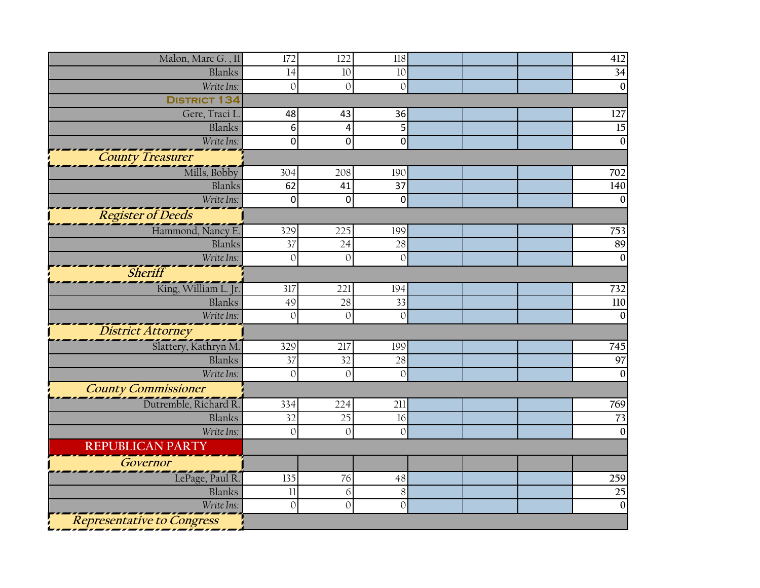| Malon, Marc G., II         | 172             | 122            | 118            |  | 412             |
|----------------------------|-----------------|----------------|----------------|--|-----------------|
| Blanks                     | 14              | 10             | 10             |  | $\overline{34}$ |
| Write Ins:                 | $\overline{O}$  | $\Omega$       | $\overline{O}$ |  | $\overline{0}$  |
| <b>DISTRICT 134</b>        |                 |                |                |  |                 |
| Gere, Traci L              | 48              | 43             | 36             |  | 127             |
| Blanks                     | 6               | 4              | 5              |  | $\overline{15}$ |
| Write Ins:                 | 0               | 0              | $\overline{0}$ |  | $\mathbf{0}$    |
| <b>County Treasurer</b>    |                 |                |                |  |                 |
| Mills, Bobby               | 304             | 208            | 190            |  | 702             |
| Blanks                     | 62              | 41             | 37             |  | 140             |
| Write Ins:                 | 0               | 0              | 0              |  | $\mathbf{0}$    |
| <b>Register of Deeds</b>   |                 |                |                |  |                 |
| Hammond, Nancy E.          | 329             | 225            | 199            |  | 753             |
| Blanks                     | $\overline{37}$ | 24             | 28             |  | 89              |
| Write Ins:                 | $\mathbf{O}$    | $\mathbf{0}$   | $\mathcal{O}$  |  | $\overline{0}$  |
| <b>Sheriff</b>             |                 |                |                |  |                 |
| King, William L. Jr.       | 317             | 221            | 194            |  | 732             |
| Blanks                     | 49              | 28             | 33             |  | 110             |
| Write Ins:                 | $\mathbf{0}$    | $\overline{O}$ | $\mathcal{O}$  |  | $\overline{0}$  |
| <b>District Attorney</b>   |                 |                |                |  |                 |
| Slattery, Kathryn M.       | 329             | 217            | 199            |  | 745             |
| Blanks                     | 37              | 32             | 28             |  | 97              |
| Write Ins:                 | $\overline{O}$  | $\overline{O}$ | $\mathbf{O}$   |  | $\mathbf{0}$    |
| <b>County Commissioner</b> |                 |                |                |  |                 |
| Dutremble, Richard R.      | 334             | 224            | 211            |  | 769             |
| Blanks                     | 32              | 25             | 16             |  | 73              |
| Write Ins:                 | $\overline{O}$  | $\Omega$       | $\mathbf{0}$   |  | $\overline{0}$  |
| <b>REPUBLICAN PARTY</b>    |                 |                |                |  |                 |
| Governor                   |                 |                |                |  |                 |
| LePage, Paul R.            | 135             | 76             | 48             |  | 259             |
| Blanks                     | 11              | 6              | $8\,$          |  | $\overline{25}$ |
| Write Ins:                 | $\mathbf{O}$    | $\overline{O}$ | $\overline{O}$ |  | $\overline{0}$  |
| Representative to Congress |                 |                |                |  |                 |
|                            |                 |                |                |  |                 |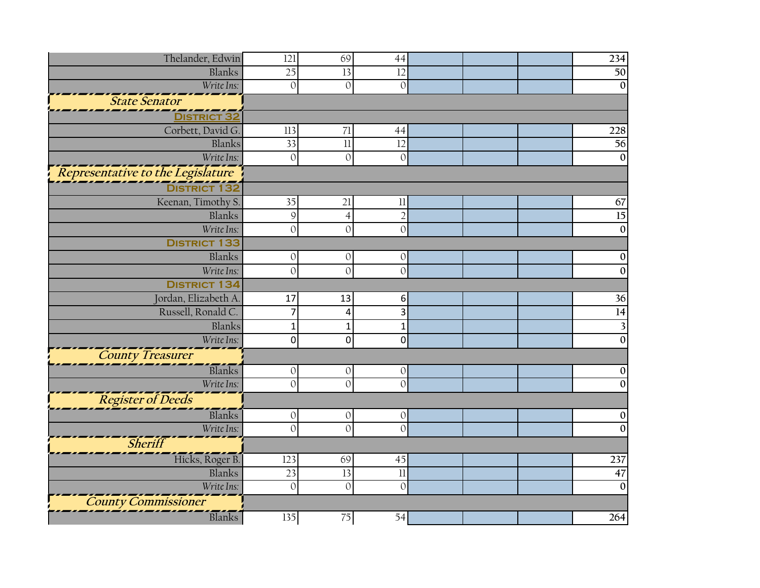| Thelander, Edwin<br>69<br>121<br>44<br>234<br>Blanks<br>25<br>13<br>12<br>Write Ins:<br>$\mathbf{0}$<br>$\mathbf{0}$<br>$\mathbf{O}$<br><i><b>State Senator</b></i><br><b>DISTRICT 32</b><br>Corbett, David G.<br>113<br>71<br>44<br>56<br>33<br>$\overline{\mathbf{u}}$<br>Blanks<br>12<br>Write Ins:<br>$\mathbf{O}$<br>$\mathbf{0}$<br>$\mathbf{O}$<br>Representative to the Legislature<br>Keenan, Timothy S.<br>35<br>21<br>$\label{eq:11} \textcolor{red}{\textbf{11}}$<br>67<br>15<br>$\mathcal{Q}$<br>$\overline{2}$<br>Blanks<br>$\overline{4}$<br>Write Ins:<br>$\overline{O}$<br>$\Omega$<br>$\mathbf{0}$<br><b>DISTRICT 133</b><br>Blanks<br>$\mathbf{O}$<br>$\mathbf{0}$<br>$\mathbf{0}$<br>Write Ins:<br>$\mathbf{O}$<br>$\mathbf{0}$<br>$\Omega$<br><b>DISTRICT 134</b><br>Jordan, Elizabeth A.<br>36<br>13<br>$\boldsymbol{6}$<br>17<br>$\overline{14}$<br>Russell, Ronald C.<br>$\overline{7}$<br>3<br>4<br>Blanks<br>$\mathbf{1}$<br>3<br>$\mathbf{1}$<br>$\mathbf{1}$<br>Write Ins:<br>$\mathbf 0$<br>0<br>$\pmb{0}$<br>$\mathbf{0}$<br>County Treasurer<br>Blanks<br>$\mathbf{O}$<br>$\mathbf 0$<br>$\mathbf{0}$<br>Write Ins:<br>$\overline{O}$<br>$\mathcal{O}$<br>$\Omega$<br>Register of Deeds<br>Blanks<br>$\mathbf 0$<br>$\mathbf{O}$<br>$\mathbf{0}$<br>Write Ins:<br>$\mathcal{O}$<br>$\overline{0}$<br>$\Omega$<br>Sheriff<br>Hicks, Roger B.<br>237<br>123<br>69<br>45<br>Blanks<br>23<br>13<br>$\overline{\mathbf{1}}$<br>Write Ins:<br>$\mathbf{0}$<br>$\mathbf{0}$<br>$\overline{0}$<br>$\mathbf{0}$<br><b>County Commissioner</b><br>Blanks<br>135<br>75<br>54 |  |  |  |                 |
|--------------------------------------------------------------------------------------------------------------------------------------------------------------------------------------------------------------------------------------------------------------------------------------------------------------------------------------------------------------------------------------------------------------------------------------------------------------------------------------------------------------------------------------------------------------------------------------------------------------------------------------------------------------------------------------------------------------------------------------------------------------------------------------------------------------------------------------------------------------------------------------------------------------------------------------------------------------------------------------------------------------------------------------------------------------------------------------------------------------------------------------------------------------------------------------------------------------------------------------------------------------------------------------------------------------------------------------------------------------------------------------------------------------------------------------------------------------------------------------------------------------------------------------------------------------------------------------------------|--|--|--|-----------------|
|                                                                                                                                                                                                                                                                                                                                                                                                                                                                                                                                                                                                                                                                                                                                                                                                                                                                                                                                                                                                                                                                                                                                                                                                                                                                                                                                                                                                                                                                                                                                                                                                  |  |  |  |                 |
|                                                                                                                                                                                                                                                                                                                                                                                                                                                                                                                                                                                                                                                                                                                                                                                                                                                                                                                                                                                                                                                                                                                                                                                                                                                                                                                                                                                                                                                                                                                                                                                                  |  |  |  | 50              |
|                                                                                                                                                                                                                                                                                                                                                                                                                                                                                                                                                                                                                                                                                                                                                                                                                                                                                                                                                                                                                                                                                                                                                                                                                                                                                                                                                                                                                                                                                                                                                                                                  |  |  |  | $\mathbf{0}$    |
|                                                                                                                                                                                                                                                                                                                                                                                                                                                                                                                                                                                                                                                                                                                                                                                                                                                                                                                                                                                                                                                                                                                                                                                                                                                                                                                                                                                                                                                                                                                                                                                                  |  |  |  |                 |
|                                                                                                                                                                                                                                                                                                                                                                                                                                                                                                                                                                                                                                                                                                                                                                                                                                                                                                                                                                                                                                                                                                                                                                                                                                                                                                                                                                                                                                                                                                                                                                                                  |  |  |  |                 |
|                                                                                                                                                                                                                                                                                                                                                                                                                                                                                                                                                                                                                                                                                                                                                                                                                                                                                                                                                                                                                                                                                                                                                                                                                                                                                                                                                                                                                                                                                                                                                                                                  |  |  |  | 228             |
|                                                                                                                                                                                                                                                                                                                                                                                                                                                                                                                                                                                                                                                                                                                                                                                                                                                                                                                                                                                                                                                                                                                                                                                                                                                                                                                                                                                                                                                                                                                                                                                                  |  |  |  |                 |
|                                                                                                                                                                                                                                                                                                                                                                                                                                                                                                                                                                                                                                                                                                                                                                                                                                                                                                                                                                                                                                                                                                                                                                                                                                                                                                                                                                                                                                                                                                                                                                                                  |  |  |  | $\mathbf{0}$    |
|                                                                                                                                                                                                                                                                                                                                                                                                                                                                                                                                                                                                                                                                                                                                                                                                                                                                                                                                                                                                                                                                                                                                                                                                                                                                                                                                                                                                                                                                                                                                                                                                  |  |  |  |                 |
|                                                                                                                                                                                                                                                                                                                                                                                                                                                                                                                                                                                                                                                                                                                                                                                                                                                                                                                                                                                                                                                                                                                                                                                                                                                                                                                                                                                                                                                                                                                                                                                                  |  |  |  |                 |
|                                                                                                                                                                                                                                                                                                                                                                                                                                                                                                                                                                                                                                                                                                                                                                                                                                                                                                                                                                                                                                                                                                                                                                                                                                                                                                                                                                                                                                                                                                                                                                                                  |  |  |  |                 |
|                                                                                                                                                                                                                                                                                                                                                                                                                                                                                                                                                                                                                                                                                                                                                                                                                                                                                                                                                                                                                                                                                                                                                                                                                                                                                                                                                                                                                                                                                                                                                                                                  |  |  |  |                 |
|                                                                                                                                                                                                                                                                                                                                                                                                                                                                                                                                                                                                                                                                                                                                                                                                                                                                                                                                                                                                                                                                                                                                                                                                                                                                                                                                                                                                                                                                                                                                                                                                  |  |  |  | $\mathbf{0}$    |
|                                                                                                                                                                                                                                                                                                                                                                                                                                                                                                                                                                                                                                                                                                                                                                                                                                                                                                                                                                                                                                                                                                                                                                                                                                                                                                                                                                                                                                                                                                                                                                                                  |  |  |  |                 |
|                                                                                                                                                                                                                                                                                                                                                                                                                                                                                                                                                                                                                                                                                                                                                                                                                                                                                                                                                                                                                                                                                                                                                                                                                                                                                                                                                                                                                                                                                                                                                                                                  |  |  |  | $\Omega$        |
|                                                                                                                                                                                                                                                                                                                                                                                                                                                                                                                                                                                                                                                                                                                                                                                                                                                                                                                                                                                                                                                                                                                                                                                                                                                                                                                                                                                                                                                                                                                                                                                                  |  |  |  | $\mathbf{0}$    |
|                                                                                                                                                                                                                                                                                                                                                                                                                                                                                                                                                                                                                                                                                                                                                                                                                                                                                                                                                                                                                                                                                                                                                                                                                                                                                                                                                                                                                                                                                                                                                                                                  |  |  |  |                 |
|                                                                                                                                                                                                                                                                                                                                                                                                                                                                                                                                                                                                                                                                                                                                                                                                                                                                                                                                                                                                                                                                                                                                                                                                                                                                                                                                                                                                                                                                                                                                                                                                  |  |  |  |                 |
|                                                                                                                                                                                                                                                                                                                                                                                                                                                                                                                                                                                                                                                                                                                                                                                                                                                                                                                                                                                                                                                                                                                                                                                                                                                                                                                                                                                                                                                                                                                                                                                                  |  |  |  |                 |
|                                                                                                                                                                                                                                                                                                                                                                                                                                                                                                                                                                                                                                                                                                                                                                                                                                                                                                                                                                                                                                                                                                                                                                                                                                                                                                                                                                                                                                                                                                                                                                                                  |  |  |  |                 |
|                                                                                                                                                                                                                                                                                                                                                                                                                                                                                                                                                                                                                                                                                                                                                                                                                                                                                                                                                                                                                                                                                                                                                                                                                                                                                                                                                                                                                                                                                                                                                                                                  |  |  |  |                 |
|                                                                                                                                                                                                                                                                                                                                                                                                                                                                                                                                                                                                                                                                                                                                                                                                                                                                                                                                                                                                                                                                                                                                                                                                                                                                                                                                                                                                                                                                                                                                                                                                  |  |  |  |                 |
|                                                                                                                                                                                                                                                                                                                                                                                                                                                                                                                                                                                                                                                                                                                                                                                                                                                                                                                                                                                                                                                                                                                                                                                                                                                                                                                                                                                                                                                                                                                                                                                                  |  |  |  | $\mathbf 0$     |
|                                                                                                                                                                                                                                                                                                                                                                                                                                                                                                                                                                                                                                                                                                                                                                                                                                                                                                                                                                                                                                                                                                                                                                                                                                                                                                                                                                                                                                                                                                                                                                                                  |  |  |  | $\mathbf{0}$    |
|                                                                                                                                                                                                                                                                                                                                                                                                                                                                                                                                                                                                                                                                                                                                                                                                                                                                                                                                                                                                                                                                                                                                                                                                                                                                                                                                                                                                                                                                                                                                                                                                  |  |  |  |                 |
|                                                                                                                                                                                                                                                                                                                                                                                                                                                                                                                                                                                                                                                                                                                                                                                                                                                                                                                                                                                                                                                                                                                                                                                                                                                                                                                                                                                                                                                                                                                                                                                                  |  |  |  | $\mathbf 0$     |
|                                                                                                                                                                                                                                                                                                                                                                                                                                                                                                                                                                                                                                                                                                                                                                                                                                                                                                                                                                                                                                                                                                                                                                                                                                                                                                                                                                                                                                                                                                                                                                                                  |  |  |  | $\Omega$        |
|                                                                                                                                                                                                                                                                                                                                                                                                                                                                                                                                                                                                                                                                                                                                                                                                                                                                                                                                                                                                                                                                                                                                                                                                                                                                                                                                                                                                                                                                                                                                                                                                  |  |  |  |                 |
|                                                                                                                                                                                                                                                                                                                                                                                                                                                                                                                                                                                                                                                                                                                                                                                                                                                                                                                                                                                                                                                                                                                                                                                                                                                                                                                                                                                                                                                                                                                                                                                                  |  |  |  |                 |
|                                                                                                                                                                                                                                                                                                                                                                                                                                                                                                                                                                                                                                                                                                                                                                                                                                                                                                                                                                                                                                                                                                                                                                                                                                                                                                                                                                                                                                                                                                                                                                                                  |  |  |  | $\overline{47}$ |
|                                                                                                                                                                                                                                                                                                                                                                                                                                                                                                                                                                                                                                                                                                                                                                                                                                                                                                                                                                                                                                                                                                                                                                                                                                                                                                                                                                                                                                                                                                                                                                                                  |  |  |  |                 |
|                                                                                                                                                                                                                                                                                                                                                                                                                                                                                                                                                                                                                                                                                                                                                                                                                                                                                                                                                                                                                                                                                                                                                                                                                                                                                                                                                                                                                                                                                                                                                                                                  |  |  |  |                 |
|                                                                                                                                                                                                                                                                                                                                                                                                                                                                                                                                                                                                                                                                                                                                                                                                                                                                                                                                                                                                                                                                                                                                                                                                                                                                                                                                                                                                                                                                                                                                                                                                  |  |  |  | 264             |
|                                                                                                                                                                                                                                                                                                                                                                                                                                                                                                                                                                                                                                                                                                                                                                                                                                                                                                                                                                                                                                                                                                                                                                                                                                                                                                                                                                                                                                                                                                                                                                                                  |  |  |  |                 |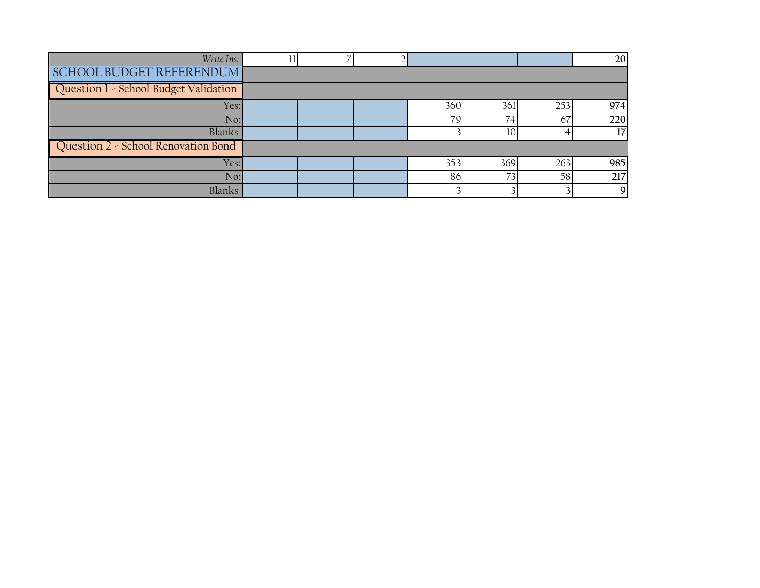| Write Ins:                            |  |     |                 |     | 20  |
|---------------------------------------|--|-----|-----------------|-----|-----|
| SCHOOL BUDGET REFERENDUM              |  |     |                 |     |     |
| Question 1 - School Budget Validation |  |     |                 |     |     |
| Yes:                                  |  | 360 | 361             | 253 | 974 |
| No:                                   |  | 79  | 74              | 67  | 220 |
| Blanks                                |  |     | 10 <sup>2</sup> |     | 17  |
| Question 2 - School Renovation Bond   |  |     |                 |     |     |
| Yes:                                  |  | 353 | 369             | 263 | 985 |
| No:                                   |  | 86  |                 | 58  | 217 |
| Blanks                                |  |     |                 |     | Q   |